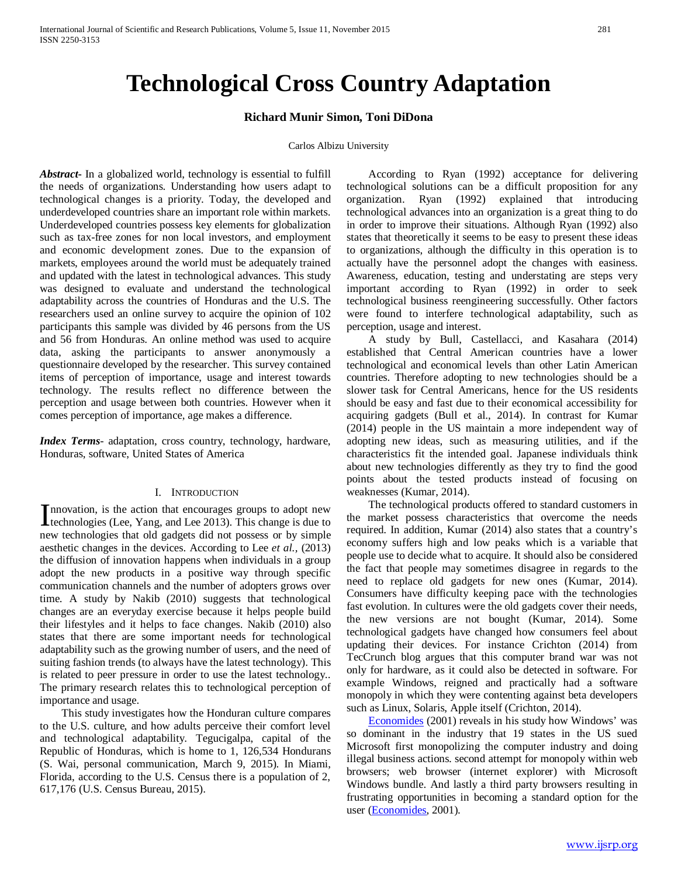# **Technological Cross Country Adaptation**

## **Richard Munir Simon, Toni DiDona**

#### Carlos Albizu University

*Abstract***-** In a globalized world, technology is essential to fulfill the needs of organizations. Understanding how users adapt to technological changes is a priority. Today, the developed and underdeveloped countries share an important role within markets. Underdeveloped countries possess key elements for globalization such as tax-free zones for non local investors, and employment and economic development zones. Due to the expansion of markets, employees around the world must be adequately trained and updated with the latest in technological advances. This study was designed to evaluate and understand the technological adaptability across the countries of Honduras and the U.S. The researchers used an online survey to acquire the opinion of 102 participants this sample was divided by 46 persons from the US and 56 from Honduras. An online method was used to acquire data, asking the participants to answer anonymously a questionnaire developed by the researcher. This survey contained items of perception of importance, usage and interest towards technology. The results reflect no difference between the perception and usage between both countries. However when it comes perception of importance, age makes a difference.

*Index Terms*- adaptation, cross country, technology, hardware, Honduras, software, United States of America

#### I. INTRODUCTION

nnovation, is the action that encourages groups to adopt new Innovation, is the action that encourages groups to adopt new<br>technologies (Lee, Yang, and Lee 2013). This change is due to new technologies that old gadgets did not possess or by simple aesthetic changes in the devices. According to Lee *et al.,* (2013) the diffusion of innovation happens when individuals in a group adopt the new products in a positive way through specific communication channels and the number of adopters grows over time. A study by Nakib (2010) suggests that technological changes are an everyday exercise because it helps people build their lifestyles and it helps to face changes. Nakib (2010) also states that there are some important needs for technological adaptability such as the growing number of users, and the need of suiting fashion trends (to always have the latest technology). This is related to peer pressure in order to use the latest technology.. The primary research relates this to technological perception of importance and usage.

 This study investigates how the Honduran culture compares to the U.S. culture, and how adults perceive their comfort level and technological adaptability. Tegucigalpa, capital of the Republic of Honduras, which is home to 1, 126,534 Hondurans (S. Wai, personal communication, March 9, 2015). In Miami, Florida, according to the U.S. Census there is a population of 2, 617,176 (U.S. Census Bureau, 2015).

 According to Ryan (1992) acceptance for delivering technological solutions can be a difficult proposition for any organization. Ryan (1992) explained that introducing technological advances into an organization is a great thing to do in order to improve their situations. Although Ryan (1992) also states that theoretically it seems to be easy to present these ideas to organizations, although the difficulty in this operation is to actually have the personnel adopt the changes with easiness. Awareness, education, testing and understating are steps very important according to Ryan (1992) in order to seek technological business reengineering successfully. Other factors were found to interfere technological adaptability, such as perception, usage and interest.

 A study by Bull, Castellacci, and Kasahara (2014) established that Central American countries have a lower technological and economical levels than other Latin American countries. Therefore adopting to new technologies should be a slower task for Central Americans, hence for the US residents should be easy and fast due to their economical accessibility for acquiring gadgets (Bull et al., 2014). In contrast for Kumar (2014) people in the US maintain a more independent way of adopting new ideas, such as measuring utilities, and if the characteristics fit the intended goal. Japanese individuals think about new technologies differently as they try to find the good points about the tested products instead of focusing on weaknesses (Kumar, 2014).

 The technological products offered to standard customers in the market possess characteristics that overcome the needs required. In addition, Kumar (2014) also states that a country's economy suffers high and low peaks which is a variable that people use to decide what to acquire. It should also be considered the fact that people may sometimes disagree in regards to the need to replace old gadgets for new ones (Kumar, 2014). Consumers have difficulty keeping pace with the technologies fast evolution. In cultures were the old gadgets cover their needs, the new versions are not bought (Kumar, 2014). Some technological gadgets have changed how consumers feel about updating their devices. For instance Crichton (2014) from TecCrunch blog argues that this computer brand war was not only for hardware, as it could also be detected in software. For example Windows, reigned and practically had a software monopoly in which they were contenting against beta developers such as Linux, Solaris, Apple itself (Crichton, 2014).

 [Economides](http://link.springer.com/search?facet-author=%2522Nicholas+Economides%2522) (2001) reveals in his study how Windows' was so dominant in the industry that 19 states in the US sued Microsoft first monopolizing the computer industry and doing illegal business actions. second attempt for monopoly within web browsers; web browser (internet explorer) with Microsoft Windows bundle. And lastly a third party browsers resulting in frustrating opportunities in becoming a standard option for the user [\(Economides,](http://link.springer.com/search?facet-author=%2522Nicholas+Economides%2522) 2001).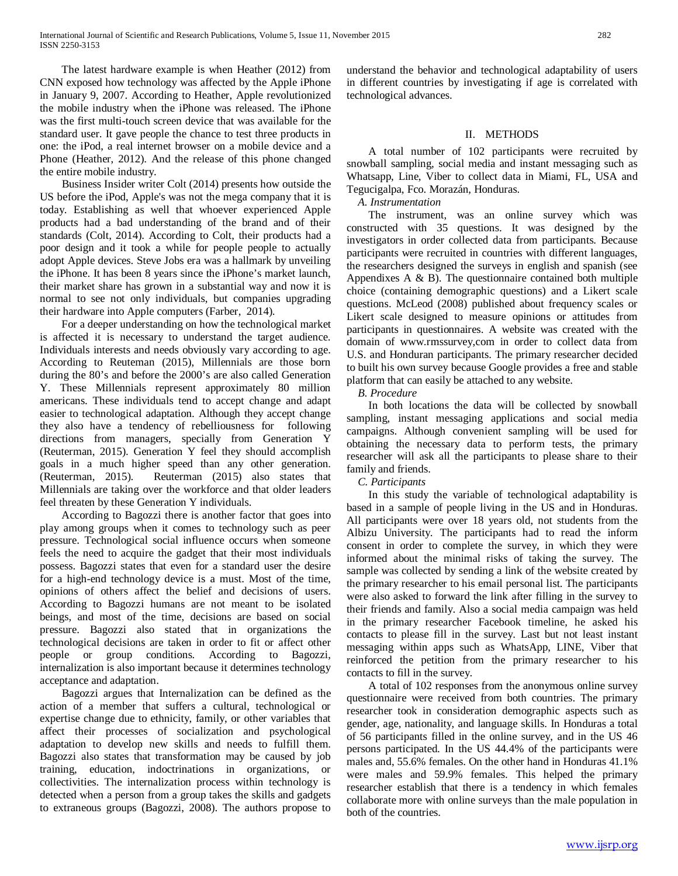The latest hardware example is when Heather (2012) from CNN exposed how technology was affected by the Apple iPhone in January 9, 2007. According to Heather, Apple revolutionized the mobile industry when the iPhone was released. The iPhone was the first multi-touch screen device that was available for the standard user. It gave people the chance to test three products in one: the iPod, a real internet browser on a mobile device and a Phone (Heather, 2012). And the release of this phone changed the entire mobile industry.

 Business Insider writer Colt (2014) presents how outside the US before the iPod, Apple's was not the mega company that it is today. Establishing as well that whoever experienced Apple products had a bad understanding of the brand and of their standards (Colt, 2014). According to Colt, their products had a poor design and it took a while for people people to actually adopt Apple devices. Steve Jobs era was a hallmark by unveiling the iPhone. It has been 8 years since the iPhone's market launch, their market share has grown in a substantial way and now it is normal to see not only individuals, but companies upgrading their hardware into Apple computers (Farber, 2014).

 For a deeper understanding on how the technological market is affected it is necessary to understand the target audience. Individuals interests and needs obviously vary according to age. According to Reuteman (2015), Millennials are those born during the 80's and before the 2000's are also called Generation Y. These Millennials represent approximately 80 million americans. These individuals tend to accept change and adapt easier to technological adaptation. Although they accept change they also have a tendency of rebelliousness for following directions from managers, specially from Generation Y (Reuterman, 2015). Generation Y feel they should accomplish goals in a much higher speed than any other generation. (Reuterman, 2015). Reuterman (2015) also states that Millennials are taking over the workforce and that older leaders feel threaten by these Generation Y individuals.

 According to Bagozzi there is another factor that goes into play among groups when it comes to technology such as peer pressure. Technological social influence occurs when someone feels the need to acquire the gadget that their most individuals possess. Bagozzi states that even for a standard user the desire for a high-end technology device is a must. Most of the time, opinions of others affect the belief and decisions of users. According to Bagozzi humans are not meant to be isolated beings, and most of the time, decisions are based on social pressure. Bagozzi also stated that in organizations the technological decisions are taken in order to fit or affect other people or group conditions. According to Bagozzi, internalization is also important because it determines technology acceptance and adaptation.

 Bagozzi argues that Internalization can be defined as the action of a member that suffers a cultural, technological or expertise change due to ethnicity, family, or other variables that affect their processes of socialization and psychological adaptation to develop new skills and needs to fulfill them. Bagozzi also states that transformation may be caused by job training, education, indoctrinations in organizations, or collectivities. The internalization process within technology is detected when a person from a group takes the skills and gadgets to extraneous groups (Bagozzi, 2008). The authors propose to

understand the behavior and technological adaptability of users in different countries by investigating if age is correlated with technological advances.

# II. METHODS

 A total number of 102 participants were recruited by snowball sampling, social media and instant messaging such as Whatsapp, Line, Viber to collect data in Miami, FL, USA and Tegucigalpa, Fco. Morazán, Honduras.

 *A. Instrumentation* 

 The instrument, was an online survey which was constructed with 35 questions. It was designed by the investigators in order collected data from participants. Because participants were recruited in countries with different languages, the researchers designed the surveys in english and spanish (see Appendixes A & B). The questionnaire contained both multiple choice (containing demographic questions) and a Likert scale questions. McLeod (2008) published about frequency scales or Likert scale designed to measure opinions or attitudes from participants in questionnaires. A website was created with the domain of www.rmssurvey,com in order to collect data from U.S. and Honduran participants. The primary researcher decided to built his own survey because Google provides a free and stable platform that can easily be attached to any website.

 *B. Procedure* 

 In both locations the data will be collected by snowball sampling, instant messaging applications and social media campaigns. Although convenient sampling will be used for obtaining the necessary data to perform tests, the primary researcher will ask all the participants to please share to their family and friends.

 *C. Participants*

 In this study the variable of technological adaptability is based in a sample of people living in the US and in Honduras. All participants were over 18 years old, not students from the Albizu University. The participants had to read the inform consent in order to complete the survey, in which they were informed about the minimal risks of taking the survey. The sample was collected by sending a link of the website created by the primary researcher to his email personal list. The participants were also asked to forward the link after filling in the survey to their friends and family. Also a social media campaign was held in the primary researcher Facebook timeline, he asked his contacts to please fill in the survey. Last but not least instant messaging within apps such as WhatsApp, LINE, Viber that reinforced the petition from the primary researcher to his contacts to fill in the survey.

 A total of 102 responses from the anonymous online survey questionnaire were received from both countries. The primary researcher took in consideration demographic aspects such as gender, age, nationality, and language skills. In Honduras a total of 56 participants filled in the online survey, and in the US 46 persons participated. In the US 44.4% of the participants were males and, 55.6% females. On the other hand in Honduras 41.1% were males and 59.9% females. This helped the primary researcher establish that there is a tendency in which females collaborate more with online surveys than the male population in both of the countries.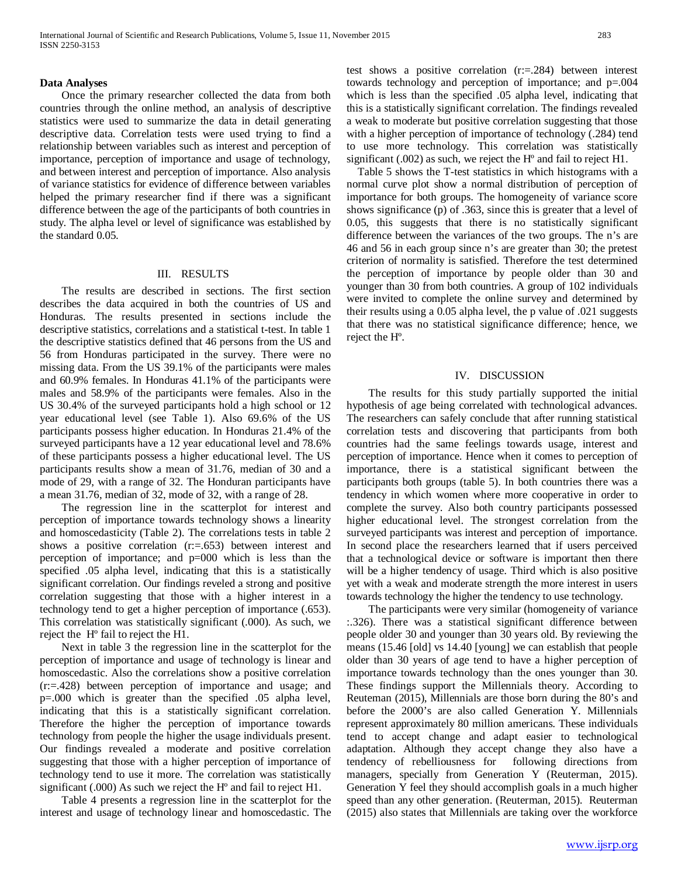#### **Data Analyses**

 Once the primary researcher collected the data from both countries through the online method, an analysis of descriptive statistics were used to summarize the data in detail generating descriptive data. Correlation tests were used trying to find a relationship between variables such as interest and perception of importance, perception of importance and usage of technology, and between interest and perception of importance. Also analysis of variance statistics for evidence of difference between variables helped the primary researcher find if there was a significant difference between the age of the participants of both countries in study. The alpha level or level of significance was established by the standard 0.05.

## III. RESULTS

 The results are described in sections. The first section describes the data acquired in both the countries of US and Honduras. The results presented in sections include the descriptive statistics, correlations and a statistical t-test. In table 1 the descriptive statistics defined that 46 persons from the US and 56 from Honduras participated in the survey. There were no missing data. From the US 39.1% of the participants were males and 60.9% females. In Honduras 41.1% of the participants were males and 58.9% of the participants were females. Also in the US 30.4% of the surveyed participants hold a high school or 12 year educational level (see Table 1). Also 69.6% of the US participants possess higher education. In Honduras 21.4% of the surveyed participants have a 12 year educational level and 78.6% of these participants possess a higher educational level. The US participants results show a mean of 31.76, median of 30 and a mode of 29, with a range of 32. The Honduran participants have a mean 31.76, median of 32, mode of 32, with a range of 28.

 The regression line in the scatterplot for interest and perception of importance towards technology shows a linearity and homoscedasticity (Table 2). The correlations tests in table 2 shows a positive correlation (r:=.653) between interest and perception of importance; and p=000 which is less than the specified .05 alpha level, indicating that this is a statistically significant correlation. Our findings reveled a strong and positive correlation suggesting that those with a higher interest in a technology tend to get a higher perception of importance (.653). This correlation was statistically significant (.000). As such, we reject the Hº fail to reject the H1.

 Next in table 3 the regression line in the scatterplot for the perception of importance and usage of technology is linear and homoscedastic. Also the correlations show a positive correlation (r:=.428) between perception of importance and usage; and p=.000 which is greater than the specified .05 alpha level, indicating that this is a statistically significant correlation. Therefore the higher the perception of importance towards technology from people the higher the usage individuals present. Our findings revealed a moderate and positive correlation suggesting that those with a higher perception of importance of technology tend to use it more. The correlation was statistically significant (.000) As such we reject the H<sup>o</sup> and fail to reject H1.

 Table 4 presents a regression line in the scatterplot for the interest and usage of technology linear and homoscedastic. The test shows a positive correlation (r:=.284) between interest towards technology and perception of importance; and p=.004 which is less than the specified .05 alpha level, indicating that this is a statistically significant correlation. The findings revealed a weak to moderate but positive correlation suggesting that those with a higher perception of importance of technology (.284) tend to use more technology. This correlation was statistically significant (.002) as such, we reject the Hº and fail to reject H1.

 Table 5 shows the T-test statistics in which histograms with a normal curve plot show a normal distribution of perception of importance for both groups. The homogeneity of variance score shows significance (p) of .363, since this is greater that a level of 0.05, this suggests that there is no statistically significant difference between the variances of the two groups. The n's are 46 and 56 in each group since n's are greater than 30; the pretest criterion of normality is satisfied. Therefore the test determined the perception of importance by people older than 30 and younger than 30 from both countries. A group of 102 individuals were invited to complete the online survey and determined by their results using a 0.05 alpha level, the p value of .021 suggests that there was no statistical significance difference; hence, we reject the Hº.

## IV. DISCUSSION

 The results for this study partially supported the initial hypothesis of age being correlated with technological advances. The researchers can safely conclude that after running statistical correlation tests and discovering that participants from both countries had the same feelings towards usage, interest and perception of importance. Hence when it comes to perception of importance, there is a statistical significant between the participants both groups (table 5). In both countries there was a tendency in which women where more cooperative in order to complete the survey. Also both country participants possessed higher educational level. The strongest correlation from the surveyed participants was interest and perception of importance. In second place the researchers learned that if users perceived that a technological device or software is important then there will be a higher tendency of usage. Third which is also positive yet with a weak and moderate strength the more interest in users towards technology the higher the tendency to use technology.

 The participants were very similar (homogeneity of variance :.326). There was a statistical significant difference between people older 30 and younger than 30 years old. By reviewing the means (15.46 [old] vs 14.40 [young] we can establish that people older than 30 years of age tend to have a higher perception of importance towards technology than the ones younger than 30. These findings support the Millennials theory. According to Reuteman (2015), Millennials are those born during the 80's and before the 2000's are also called Generation Y. Millennials represent approximately 80 million americans. These individuals tend to accept change and adapt easier to technological adaptation. Although they accept change they also have a tendency of rebelliousness for following directions from managers, specially from Generation Y (Reuterman, 2015). Generation Y feel they should accomplish goals in a much higher speed than any other generation. (Reuterman, 2015). Reuterman (2015) also states that Millennials are taking over the workforce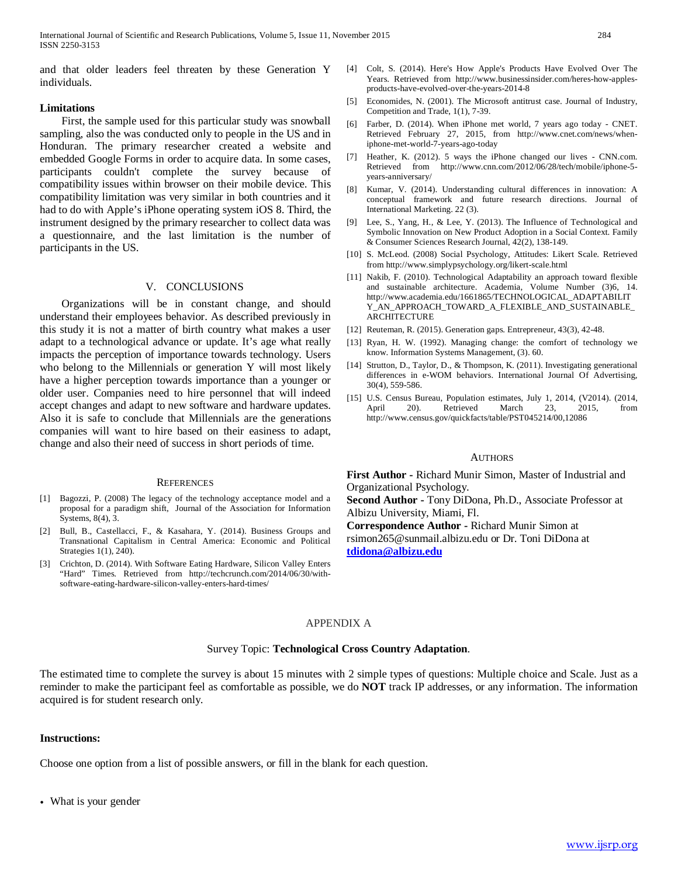and that older leaders feel threaten by these Generation Y individuals.

## **Limitations**

 First, the sample used for this particular study was snowball sampling, also the was conducted only to people in the US and in Honduran. The primary researcher created a website and embedded Google Forms in order to acquire data. In some cases, participants couldn't complete the survey because of compatibility issues within browser on their mobile device. This compatibility limitation was very similar in both countries and it had to do with Apple's iPhone operating system iOS 8. Third, the instrument designed by the primary researcher to collect data was a questionnaire, and the last limitation is the number of participants in the US.

# V. CONCLUSIONS

 Organizations will be in constant change, and should understand their employees behavior. As described previously in this study it is not a matter of birth country what makes a user adapt to a technological advance or update. It's age what really impacts the perception of importance towards technology. Users who belong to the Millennials or generation Y will most likely have a higher perception towards importance than a younger or older user. Companies need to hire personnel that will indeed accept changes and adapt to new software and hardware updates. Also it is safe to conclude that Millennials are the generations companies will want to hire based on their easiness to adapt, change and also their need of success in short periods of time.

#### **REFERENCES**

- [1] Bagozzi, P. (2008) The legacy of the technology acceptance model and a proposal for a paradigm shift, Journal of the Association for Information Systems, 8(4), 3.
- [2] Bull, B., Castellacci, F., & Kasahara, Y. (2014). Business Groups and Transnational Capitalism in Central America: Economic and Political Strategies 1(1), 240).
- [3] Crichton, D. (2014). With Software Eating Hardware, Silicon Valley Enters "Hard" Times. Retrieved from http://techcrunch.com/2014/06/30/withsoftware-eating-hardware-silicon-valley-enters-hard-times/
- [4] Colt, S. (2014). Here's How Apple's Products Have Evolved Over The Years. Retrieved from http://www.businessinsider.com/heres-how-applesproducts-have-evolved-over-the-years-2014-8
- [5] Economides, N. (2001). The Microsoft antitrust case. Journal of Industry, Competition and Trade, 1(1), 7-39.
- [6] Farber, D. (2014). When iPhone met world, 7 years ago today CNET. Retrieved February 27, 2015, from http://www.cnet.com/news/wheniphone-met-world-7-years-ago-today
- [7] Heather, K. (2012). 5 ways the iPhone changed our lives CNN.com. Retrieved from http://www.cnn.com/2012/06/28/tech/mobile/iphone-5 years-anniversary/
- [8] Kumar, V. (2014). Understanding cultural differences in innovation: A conceptual framework and future research directions. Journal of International Marketing. 22 (3).
- [9] Lee, S., Yang, H., & Lee, Y. (2013). The Influence of Technological and Symbolic Innovation on New Product Adoption in a Social Context. Family & Consumer Sciences Research Journal, 42(2), 138-149.
- [10] S. McLeod. (2008) Social Psychology, Attitudes: Likert Scale. Retrieved from http://www.simplypsychology.org/likert-scale.html
- [11] Nakib, F. (2010). Technological Adaptability an approach toward flexible and sustainable architecture. Academia, Volume Number (3)6, 14. http://www.academia.edu/1661865/TECHNOLOGICAL\_ADAPTABILIT Y\_AN\_APPROACH\_TOWARD\_A\_FLEXIBLE\_AND\_SUSTAINABLE\_ ARCHITECTURE
- [12] Reuteman, R. (2015). Generation gaps. Entrepreneur, 43(3), 42-48.
- [13] Ryan, H. W. (1992). Managing change: the comfort of technology we know. Information Systems Management, (3). 60.
- [14] Strutton, D., Taylor, D., & Thompson, K. (2011). Investigating generational differences in e-WOM behaviors. International Journal Of Advertising, 30(4), 559-586.
- [15] U.S. Census Bureau, Population estimates, July 1, 2014, (V2014). (2014, April 20). Retrieved March 23, 2015, from http://www.census.gov/quickfacts/table/PST045214/00,12086

#### AUTHORS

**First Author -** Richard Munir Simon, Master of Industrial and Organizational Psychology.

**Second Author -** Tony DiDona, Ph.D., Associate Professor at Albizu University, Miami, Fl.

**Correspondence Author -** Richard Munir Simon at rsimon265@sunmail.albizu.edu or Dr. Toni DiDona at

**[tdidona@albizu.edu](mailto:tdidona@albizu.edu)**

## APPENDIX A

#### Survey Topic: **Technological Cross Country Adaptation**.

The estimated time to complete the survey is about 15 minutes with 2 simple types of questions: Multiple choice and Scale. Just as a reminder to make the participant feel as comfortable as possible, we do **NOT** track IP addresses, or any information. The information acquired is for student research only.

#### **Instructions:**

Choose one option from a list of possible answers, or fill in the blank for each question.

• What is your gender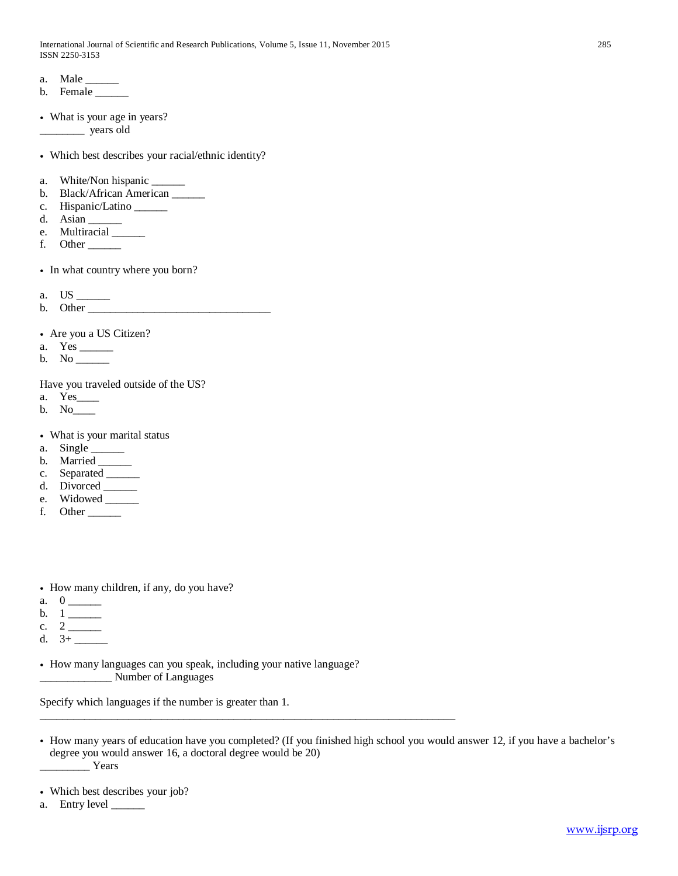- a. Male
- b. Female \_\_\_\_\_\_\_
- What is your age in years? \_\_\_\_\_\_\_\_ years old

• Which best describes your racial/ethnic identity?

- a. White/Non hispanic \_\_\_\_\_\_\_\_
- b. Black/African American \_\_\_\_\_\_
- c. Hispanic/Latino \_\_\_\_\_\_
- d. Asian  $\equiv$
- e. Multiracial \_\_\_\_\_\_
- f. Other
- In what country where you born?
- a. US \_\_\_\_\_\_

b. Other \_\_\_\_\_\_\_\_\_\_\_\_\_\_\_\_\_\_\_\_\_\_\_\_\_\_\_\_\_\_\_\_\_

• Are you a US Citizen?

- a. Yes \_\_\_\_\_\_
- b. No

Have you traveled outside of the US?

- a. Yes\_\_\_\_
- b. No\_\_\_\_
- What is your marital status
- a. Single  $\_\_\_\_\_\_\_\$
- b. Married \_\_\_\_\_\_
- c. Separated \_\_\_\_\_
- d. Divorced \_\_\_\_\_\_\_
- e. Widowed
- f. Other  $\_\_$
- How many children, if any, do you have?
- a. 0 \_\_\_\_\_\_
- b. 1 \_\_\_\_\_\_
- c. 2 \_\_\_\_\_\_
- d. 3+ \_\_\_\_\_\_
- How many languages can you speak, including your native language? \_\_\_\_\_\_\_\_\_\_\_\_\_ Number of Languages

\_\_\_\_\_\_\_\_\_\_\_\_\_\_\_\_\_\_\_\_\_\_\_\_\_\_\_\_\_\_\_\_\_\_\_\_\_\_\_\_\_\_\_\_\_\_\_\_\_\_\_\_\_\_\_\_\_\_\_\_\_\_\_\_\_\_\_\_\_\_\_\_\_\_\_

Specify which languages if the number is greater than 1.

- How many years of education have you completed? (If you finished high school you would answer 12, if you have a bachelor's degree you would answer 16, a doctoral degree would be 20) \_\_\_\_\_\_\_\_\_ Years
- Which best describes your job?
- a. Entry level \_\_\_\_\_\_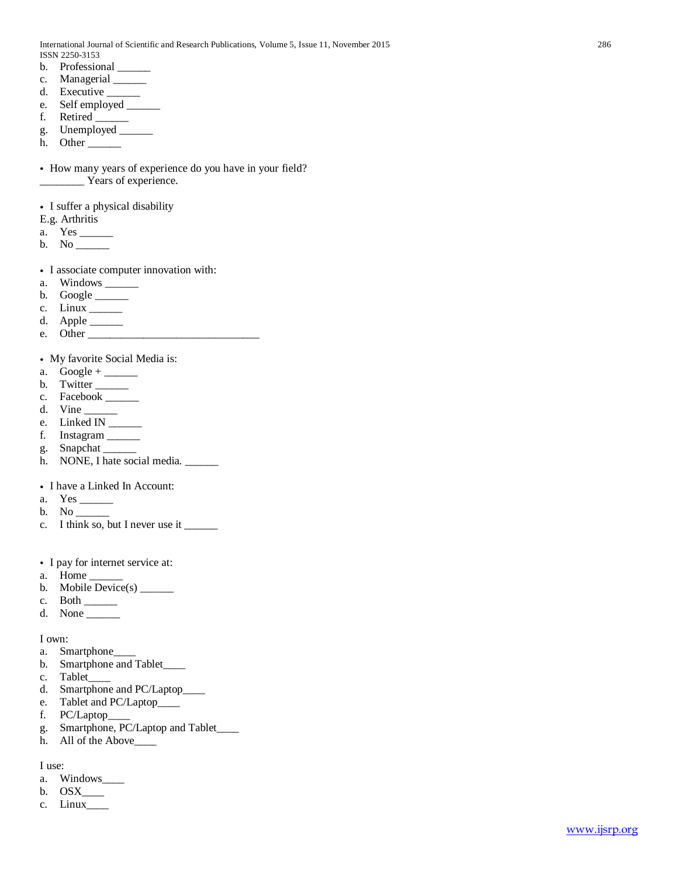- b. Professional
- c. Managerial \_\_\_\_\_\_
- d. Executive \_\_\_\_\_\_\_
- e. Self employed  $\frac{1}{\sqrt{1-\frac{1}{2}}\sqrt{1-\frac{1}{2}}\left(\frac{1}{\sqrt{1-\frac{1}{2}}}\right)}$
- f. Retired \_\_\_\_\_\_
- g. Unemployed \_\_\_\_\_
- h. Other

• How many years of experience do you have in your field? \_\_\_\_\_\_\_\_ Years of experience.

• I suffer a physical disability

- E.g. Arthritis
- a. Yes \_\_\_\_\_\_
- b. No
- I associate computer innovation with:
- a. Windows \_\_\_\_\_\_\_
- b. Google  $\_\_$
- c. Linux \_\_\_\_\_\_
- d. Apple \_\_\_\_\_\_
- e. Other  $\_\_$

# • My favorite Social Media is:

- a. Google +  $\_\_\_\_\_\_\_\_\_\_\_\_$
- b. Twitter  $\_\_$
- c. Facebook \_\_\_\_\_\_
- d. Vine
- e. Linked IN \_\_\_\_\_\_
- f. Instagram \_\_\_\_\_\_
- g. Snapchat
- h. NONE, I hate social media. \_\_\_\_\_\_
- I have a Linked In Account:
- a. Yes
- b. No \_\_\_\_\_\_
- c. I think so, but I never use it \_\_\_\_\_\_\_
- I pay for internet service at:
- a. Home \_\_\_\_\_\_
- b. Mobile Device(s)  $\_\_\_\_\_\_\_\_\_\_\_\_\_\_\_\_\_\_\_\_\_\_\_\_\_\_\_\_\_\_\_\_$
- c. Both  $\_\_$
- d. None \_\_\_\_\_\_

I own:

- a. Smartphone\_\_\_\_
- b. Smartphone and Tablet\_\_\_\_
- c. Tablet
- d. Smartphone and PC/Laptop\_\_\_\_
- e. Tablet and PC/Laptop\_\_\_\_
- f. PC/Laptop\_\_\_\_
- g. Smartphone, PC/Laptop and Tablet\_\_\_\_
- h. All of the Above\_\_\_\_

I use:

- a. Windows\_\_\_\_
- b.  $OSX$ <sub>\_\_\_\_</sub>
- c. Linux\_\_\_\_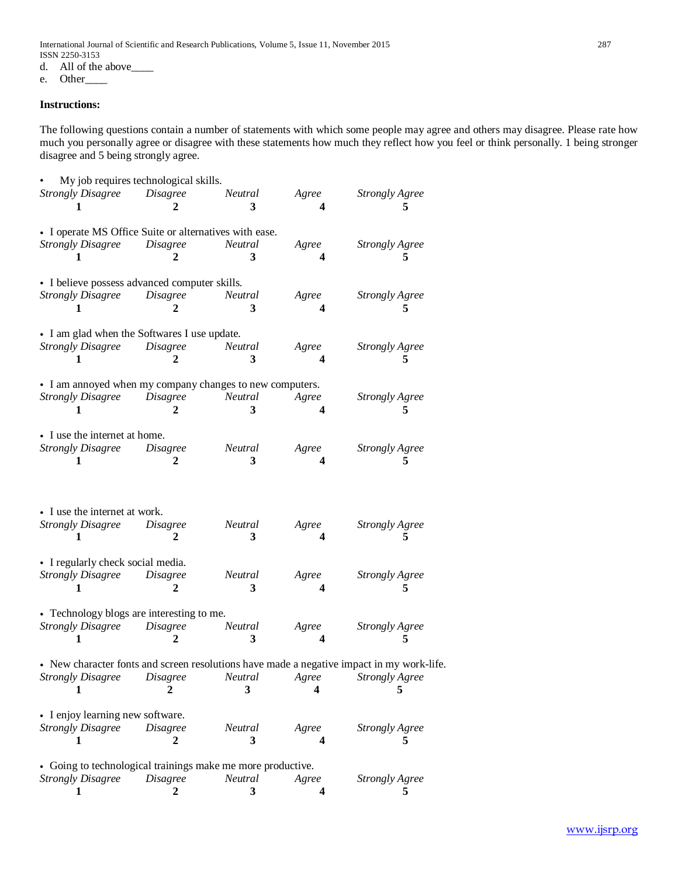International Journal of Scientific and Research Publications, Volume 5, Issue 11, November 2015 287 ISSN 2250-3153<br>d. All of the

All of the above\_\_\_\_\_

e. Other\_\_\_\_

# **Instructions:**

The following questions contain a number of statements with which some people may agree and others may disagree. Please rate how much you personally agree or disagree with these statements how much they reflect how you feel or think personally. 1 being stronger disagree and 5 being strongly agree.

|                                                              | My job requires technological skills. |                |       |                                                                                           |
|--------------------------------------------------------------|---------------------------------------|----------------|-------|-------------------------------------------------------------------------------------------|
| <b>Strongly Disagree</b> Disagree                            |                                       | Neutral        | Agree | <b>Strongly Agree</b>                                                                     |
| 1                                                            | 2                                     | 3              | 4     | 5                                                                                         |
|                                                              |                                       |                |       |                                                                                           |
| • I operate MS Office Suite or alternatives with ease.       |                                       |                |       |                                                                                           |
| <b>Strongly Disagree</b>                                     | <i>Disagree</i>                       | <b>Neutral</b> | Agree | <b>Strongly Agree</b>                                                                     |
|                                                              |                                       | 3              |       |                                                                                           |
|                                                              |                                       |                |       |                                                                                           |
| • I believe possess advanced computer skills.                |                                       |                |       |                                                                                           |
| <b>Strongly Disagree</b>                                     | <b>Disagree</b>                       | Neutral        | Agree | <b>Strongly Agree</b>                                                                     |
| 1                                                            | 2                                     | 3              | 4     | 5                                                                                         |
|                                                              |                                       |                |       |                                                                                           |
| • I am glad when the Softwares I use update.                 |                                       |                |       |                                                                                           |
| <b>Strongly Disagree</b>                                     | <i>Disagree</i>                       | Neutral        | Agree | <b>Strongly Agree</b>                                                                     |
| 1                                                            | 2                                     | 3              |       | 5                                                                                         |
| • I am annoyed when my company changes to new computers.     |                                       |                |       |                                                                                           |
| <b>Strongly Disagree</b>                                     | Disagree                              | Neutral        | Agree | <b>Strongly Agree</b>                                                                     |
| 1                                                            | 2                                     | 3              |       | 5                                                                                         |
|                                                              |                                       |                |       |                                                                                           |
| • I use the internet at home.                                |                                       |                |       |                                                                                           |
| <b>Strongly Disagree</b>                                     | <b>Disagree</b>                       | Neutral        | Agree | <b>Strongly Agree</b>                                                                     |
| 1                                                            | 2                                     | 3              | 4     | 5                                                                                         |
|                                                              |                                       |                |       |                                                                                           |
|                                                              |                                       |                |       |                                                                                           |
|                                                              |                                       |                |       |                                                                                           |
| • I use the internet at work.                                |                                       |                |       |                                                                                           |
| <b>Strongly Disagree</b>                                     | <i>Disagree</i>                       | Neutral        | Agree | <b>Strongly Agree</b>                                                                     |
| 1                                                            | 2                                     | 3              |       | 5                                                                                         |
|                                                              |                                       |                | 4     |                                                                                           |
|                                                              |                                       |                |       |                                                                                           |
| • I regularly check social media.                            |                                       |                |       |                                                                                           |
| <b>Strongly Disagree</b>                                     | <i>Disagree</i>                       | Neutral        | Agree | <b>Strongly Agree</b>                                                                     |
| 1                                                            | 2                                     | 3              | 4     | 5                                                                                         |
|                                                              |                                       |                |       |                                                                                           |
| • Technology blogs are interesting to me.                    |                                       |                |       |                                                                                           |
| <b>Strongly Disagree</b>                                     | Disagree                              | <b>Neutral</b> | Agree | <b>Strongly Agree</b>                                                                     |
| 1                                                            | 2                                     | 3              |       | 5                                                                                         |
|                                                              |                                       |                |       |                                                                                           |
|                                                              |                                       |                |       | • New character fonts and screen resolutions have made a negative impact in my work-life. |
| <b>Strongly Disagree</b>                                     | <i>Disagree</i><br>2                  | Neutral        | Agree | <b>Strongly Agree</b>                                                                     |
| L                                                            |                                       | 3              | 4     | 5                                                                                         |
|                                                              |                                       |                |       |                                                                                           |
| • I enjoy learning new software.<br><b>Strongly Disagree</b> | <b>Disagree</b>                       | Neutral        | Agree |                                                                                           |
| L                                                            | 2                                     | 3              | 4     | Strongly Agree<br>5                                                                       |
|                                                              |                                       |                |       |                                                                                           |
| • Going to technological trainings make me more productive.  |                                       |                |       |                                                                                           |
| <b>Strongly Disagree</b>                                     | <i>Disagree</i>                       | Neutral<br>3   | Agree | <b>Strongly Agree</b>                                                                     |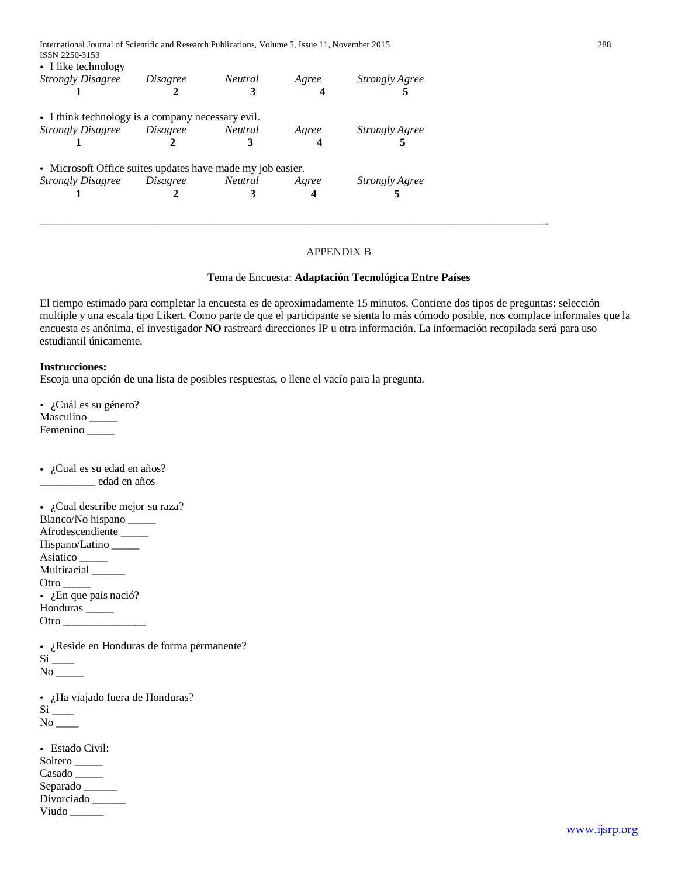| Disagree | Neutral | Agree                                                        | <b>Strongly Agree</b>                                      |
|----------|---------|--------------------------------------------------------------|------------------------------------------------------------|
|          |         |                                                              |                                                            |
|          |         |                                                              |                                                            |
| Disagree |         | Agree                                                        | <b>Strongly Agree</b>                                      |
|          |         |                                                              |                                                            |
|          |         | • I think technology is a company necessary evil.<br>Neutral | • Microsoft Office suites updates have made my job easier. |

——————————————————————————————————————-

# APPENDIX B

# Tema de Encuesta: **Adaptación Tecnológica Entre Países**

El tiempo estimado para completar la encuesta es de aproximadamente 15 minutos. Contiene dos tipos de preguntas: selección multiple y una escala tipo Likert. Como parte de que el participante se sienta lo más cómodo posible, nos complace informales que la encuesta es anónima, el investigador **NO** rastreará direcciones IP u otra información. La información recopilada será para uso estudiantil únicamente.

# **Instrucciones:**

Escoja una opción de una lista de posibles respuestas, o llene el vacío para la pregunta.

• ¿Cuál es su género? Masculino \_\_\_\_\_ Femenino \_\_\_\_\_\_

• ¿Cual es su edad en años? \_\_\_\_\_\_\_\_\_\_ edad en años

• ¿Cual describe mejor su raza? Blanco/No hispano \_\_\_\_\_ Afrodescendiente \_\_\_\_\_ Hispano/Latino \_\_\_\_\_ Asiatico \_\_\_\_\_ Multiracial \_\_\_\_\_\_ Otro  $\_\_\_\_\_\_\$  $\bullet$  *i*. En que pais nació? Honduras \_\_\_\_\_ Otro \_\_\_\_\_\_\_\_\_\_\_\_\_\_\_

• ¿Reside en Honduras de forma permanente?  $Si$ <sub>---</sub> No \_\_\_\_\_

• ¿Ha viajado fuera de Honduras?

 $Si$ <sub>\_\_\_\_</sub>  $No$ <sub>\_\_\_\_</sub>

• Estado Civil: Soltero Casado \_\_\_\_\_ Separado \_\_\_\_\_\_ Divorciado \_\_\_\_\_\_ Viudo \_\_\_\_\_\_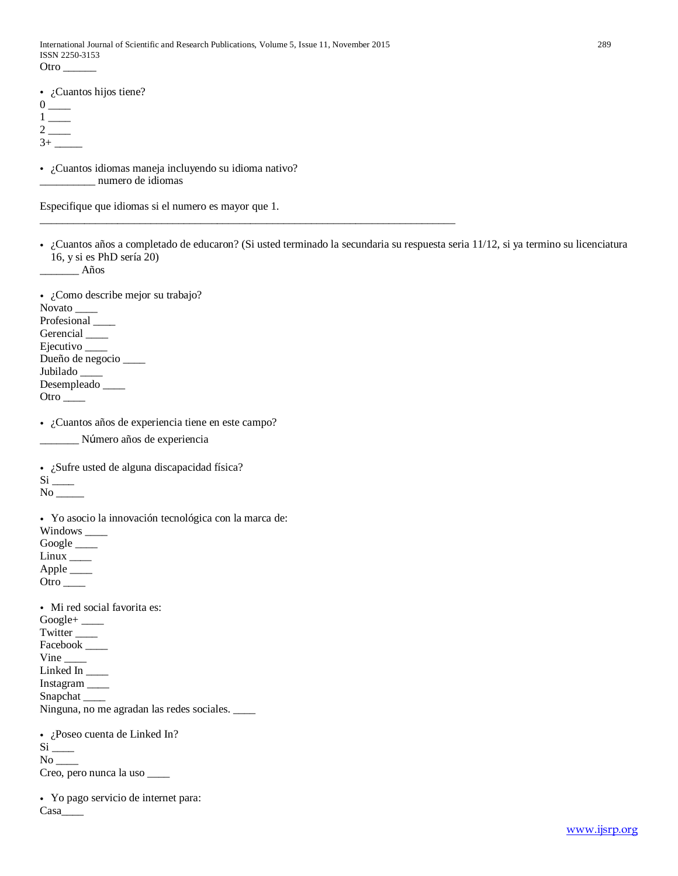\_\_\_\_\_\_\_\_\_\_\_\_\_\_\_\_\_\_\_\_\_\_\_\_\_\_\_\_\_\_\_\_\_\_\_\_\_\_\_\_\_\_\_\_\_\_\_\_\_\_\_\_\_\_\_\_\_\_\_\_\_\_\_\_\_\_\_\_\_\_\_\_\_\_\_

• ¿Cuantos hijos tiene?

| $\Omega$     |  |
|--------------|--|
| -1           |  |
| $\mathbf{2}$ |  |
| $3+$         |  |

• ¿Cuantos idiomas maneja incluyendo su idioma nativo? \_\_\_\_\_\_\_\_\_\_ numero de idiomas

Especifique que idiomas si el numero es mayor que 1.

• ¿Cuantos años a completado de educaron? (Si usted terminado la secundaria su respuesta seria 11/12, si ya termino su licenciatura 16, y si es PhD sería 20)

\_\_\_\_\_\_\_ Años

• ¿Como describe mejor su trabajo? Novato \_\_\_\_\_\_ Profesional \_\_\_\_ Gerencial \_\_\_\_\_\_ Ejecutivo \_\_\_\_ Dueño de negocio \_\_\_\_ Jubilado \_ Desempleado \_\_\_\_ Otro \_\_\_\_

• ¿Cuantos años de experiencia tiene en este campo?

\_\_\_\_\_\_\_ Número años de experiencia

• ¿Sufre usted de alguna discapacidad física?

 $Si$ <sub>——</sub>

No \_\_\_\_\_

• Yo asocio la innovación tecnológica con la marca de:

Windows \_\_\_\_

Google \_\_\_\_\_

Linux \_\_\_\_

Apple  $\_\_$ 

Otro \_\_\_\_

• Mi red social favorita es:

Google+ \_\_\_\_

Twitter \_\_\_\_

Facebook \_\_\_\_

 $Vine$ <sub>\_\_\_\_</sub> Linked In \_\_\_\_

Instagram \_\_\_\_

Snapchat \_\_\_\_

Ninguna, no me agradan las redes sociales. \_\_\_\_

• ¿Poseo cuenta de Linked In?

 $Si$ <sub>——</sub>

 $No$ <sub>\_\_\_\_</sub>

Creo, pero nunca la uso \_\_\_\_

• Yo pago servicio de internet para: Casa\_\_\_\_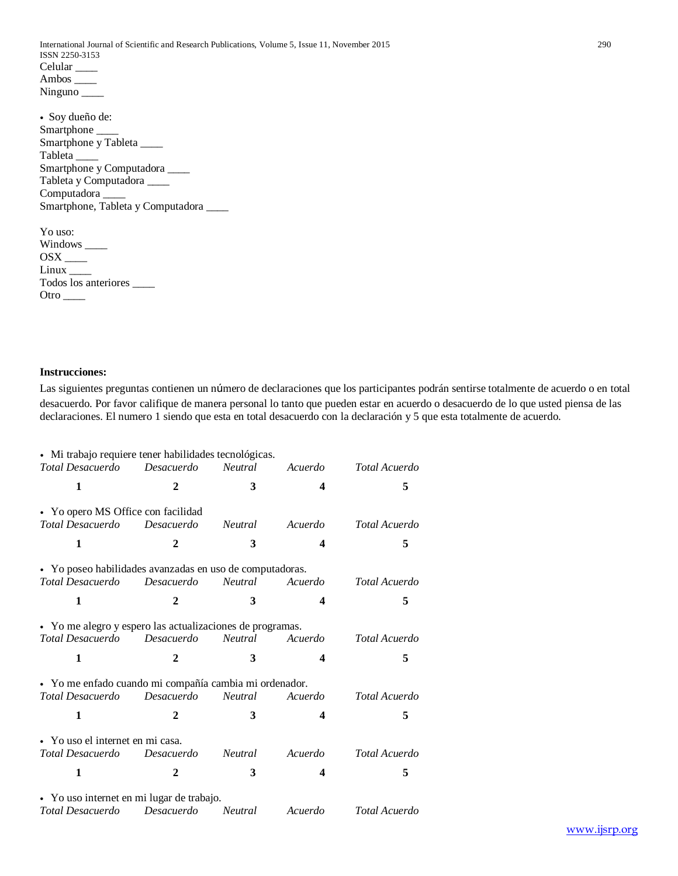International Journal of Scientific and Research Publications, Volume 5, Issue 11, November 2015 290 ISSN 2250-3153 Celular \_\_\_\_\_ Ambos \_\_\_\_ Ninguno \_\_\_\_\_\_\_

| • Soy dueño de:                      |  |
|--------------------------------------|--|
| Smartphone                           |  |
| Smartphone y Tableta                 |  |
| Tableta                              |  |
| Smartphone y Computadora             |  |
| Tableta y Computadora _____          |  |
| Computadora                          |  |
| Smartphone, Tableta y Computadora __ |  |
|                                      |  |

| Yo uso:                      |
|------------------------------|
|                              |
| $OSX$ <sub>____</sub>        |
| Linux                        |
| Todos los anteriores _______ |
| Otro                         |

# **Instrucciones:**

Las siguientes preguntas contienen un número de declaraciones que los participantes podrán sentirse totalmente de acuerdo o en total desacuerdo. Por favor califique de manera personal lo tanto que pueden estar en acuerdo o desacuerdo de lo que usted piensa de las declaraciones. El numero 1 siendo que esta en total desacuerdo con la declaración y 5 que esta totalmente de acuerdo.

| · Mi trabajo requiere tener habilidades tecnológicas.<br>Total Desacuerdo | Desacuerdo | <b>Neutral</b> | Acuerdo | Total Acuerdo |
|---------------------------------------------------------------------------|------------|----------------|---------|---------------|
| 1                                                                         | 2          | 3              | 4       | 5             |
| • Yo opero MS Office con facilidad                                        |            |                |         |               |
| Total Desacuerdo                                                          | Desacuerdo | <i>Neutral</i> | Acuerdo | Total Acuerdo |
| 1                                                                         | 2          | 3              | 4       | 5             |
| • Yo poseo habilidades avanzadas en uso de computadoras.                  |            |                |         |               |
| Total Desacuerdo                                                          | Desacuerdo | <b>Neutral</b> | Acuerdo | Total Acuerdo |
| 1                                                                         | 2          | 3              | 4       | 5             |
| • Yo me alegro y espero las actualizaciones de programas.                 |            |                |         |               |
| Total Desacuerdo                                                          | Desacuerdo | <b>Neutral</b> | Acuerdo | Total Acuerdo |
| 1                                                                         | 2          | 3              | 4       | 5             |
| · Yo me enfado cuando mi compañía cambia mi ordenador.                    |            |                |         |               |
| Total Desacuerdo                                                          | Desacuerdo | Neutral        | Acuerdo | Total Acuerdo |
| 1                                                                         | 2          | 3              | 4       | 5             |
| • Yo uso el internet en mi casa.                                          |            |                |         |               |
| Total Desacuerdo                                                          | Desacuerdo | <i>Neutral</i> | Acuerdo | Total Acuerdo |
| 1                                                                         | 2          | 3              | 4       | 5             |
| • Yo uso internet en mi lugar de trabajo.                                 |            |                |         |               |
| Total Desacuerdo                                                          | Desacuerdo | Neutral        | Acuerdo | Total Acuerdo |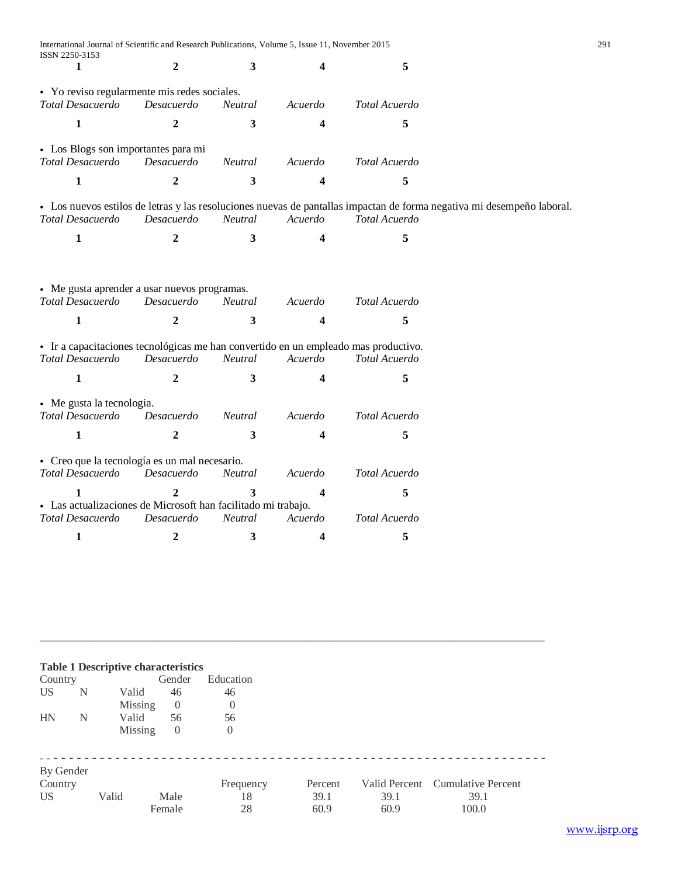| International Journal of Scientific and Research Publications, Volume 5, Issue 11, November 2015<br>ISSN 2250-3153 |                |                |                         |                                                                                                                                         | 291 |
|--------------------------------------------------------------------------------------------------------------------|----------------|----------------|-------------------------|-----------------------------------------------------------------------------------------------------------------------------------------|-----|
| 1                                                                                                                  | $\overline{2}$ | 3              | 4                       | 5                                                                                                                                       |     |
| • Yo reviso regularmente mis redes sociales.<br>Total Desacuerdo                                                   | Desacuerdo     | Neutral        | Acuerdo                 | Total Acuerdo                                                                                                                           |     |
| $\mathbf{1}$                                                                                                       | 2              | 3              | 4                       | 5                                                                                                                                       |     |
|                                                                                                                    |                |                |                         |                                                                                                                                         |     |
| • Los Blogs son importantes para mi<br>Total Desacuerdo                                                            | Desacuerdo     | Neutral        | Acuerdo                 | Total Acuerdo                                                                                                                           |     |
| $\mathbf{1}$                                                                                                       | $\mathbf{2}$   | 3              | 4                       | 5                                                                                                                                       |     |
| Total Desacuerdo                                                                                                   | Desacuerdo     | Neutral        | Acuerdo                 | • Los nuevos estilos de letras y las resoluciones nuevas de pantallas impactan de forma negativa mi desempeño laboral.<br>Total Acuerdo |     |
| $\mathbf{1}$                                                                                                       | 2              | 3              | 4                       | 5                                                                                                                                       |     |
|                                                                                                                    |                |                |                         |                                                                                                                                         |     |
| • Me gusta aprender a usar nuevos programas.<br><b>Total Desacuerdo</b>                                            | Desacuerdo     | <b>Neutral</b> | Acuerdo                 | Total Acuerdo                                                                                                                           |     |
| $\mathbf{1}$                                                                                                       | $\overline{2}$ | 3              | 4                       | 5                                                                                                                                       |     |
| • Ir a capacitaciones tecnológicas me han convertido en un empleado mas productivo.                                |                |                |                         |                                                                                                                                         |     |
| Total Desacuerdo                                                                                                   | Desacuerdo     | Neutral        | Acuerdo                 | Total Acuerdo                                                                                                                           |     |
| $\mathbf{1}$                                                                                                       | $\overline{2}$ | 3              | 4                       | 5                                                                                                                                       |     |
| • Me gusta la tecnologia.                                                                                          |                |                |                         |                                                                                                                                         |     |
| Total Desacuerdo                                                                                                   | Desacuerdo     | <i>Neutral</i> | Acuerdo                 | Total Acuerdo                                                                                                                           |     |
| $\mathbf{1}$                                                                                                       | $\mathbf{2}$   | 3              | 4                       | 5                                                                                                                                       |     |
| • Creo que la tecnología es un mal necesario.<br>Total Desacuerdo                                                  | Desacuerdo     | Neutral        | Acuerdo                 | Total Acuerdo                                                                                                                           |     |
|                                                                                                                    |                |                |                         |                                                                                                                                         |     |
| $\mathbf{1}$<br>• Las actualizaciones de Microsoft han facilitado mi trabajo.                                      | $\mathbf{2}$   | 3              | $\overline{\mathbf{4}}$ | 5                                                                                                                                       |     |
| Total Desacuerdo                                                                                                   | Desacuerdo     | Neutral        | Acuerdo                 | Total Acuerdo                                                                                                                           |     |
| 1                                                                                                                  | 2              | 3              | 4                       | 5                                                                                                                                       |     |
|                                                                                                                    |                |                |                         |                                                                                                                                         |     |

| Country                                 |   |         | <b>Table 1 Descriptive characteristics</b><br>Gender | Education             |                         |              |                                                   |  |
|-----------------------------------------|---|---------|------------------------------------------------------|-----------------------|-------------------------|--------------|---------------------------------------------------|--|
| US <sup>-</sup>                         | N | Valid   | 46                                                   | 46                    |                         |              |                                                   |  |
|                                         |   | Missing | $\overline{0}$                                       | $\boldsymbol{0}$      |                         |              |                                                   |  |
| <b>HN</b>                               | N | Valid   | 56                                                   | 56                    |                         |              |                                                   |  |
|                                         |   | Missing | $\overline{0}$                                       | $\theta$              |                         |              |                                                   |  |
| By Gender<br>Country<br>US <sup>-</sup> |   | Valid   | Male<br>Female                                       | Frequency<br>18<br>28 | Percent<br>39.1<br>60.9 | 39.1<br>60.9 | Valid Percent Cumulative Percent<br>39.1<br>100.0 |  |

——————————————————————————————————————

[www.ijsrp.org](http://ijsrp.org/)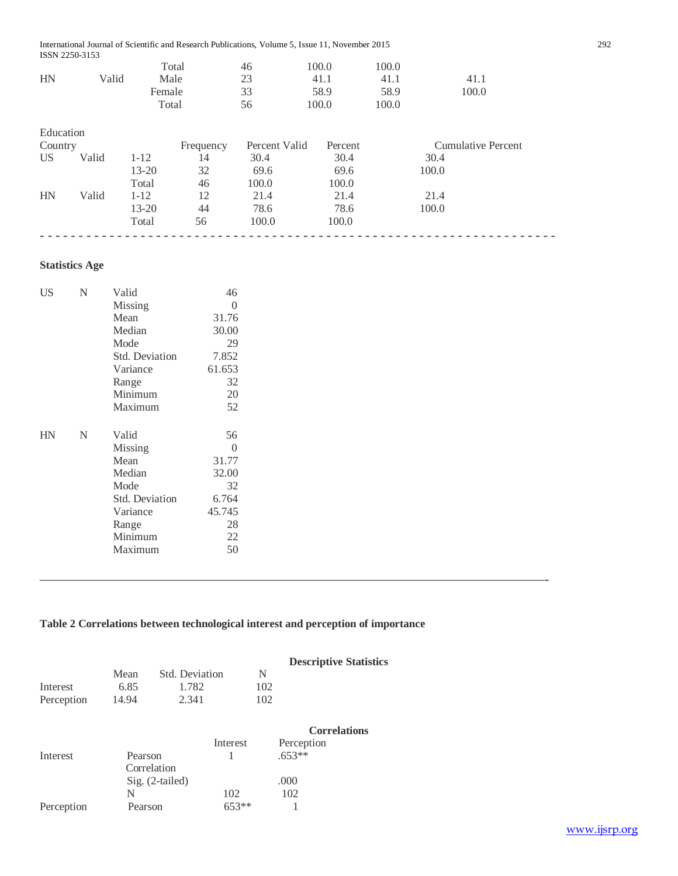| International Journal of Scientific and Research Publications, Volume 5, Issue 11, November 2015 | 292 |
|--------------------------------------------------------------------------------------------------|-----|
| ISSN 2250-3153                                                                                   |     |

|    |       | Total  | 46 | 100.0 | 100.0 |       |
|----|-------|--------|----|-------|-------|-------|
| HN | Valid | Male   | 23 | 41.1  | 41.1  | 41.1  |
|    |       | Female | 33 | 58.9  | 58.9  | 100.0 |
|    |       | Total  | 56 | 100.0 | 100.0 |       |

| Country         |       |           | Frequency | Percent Valid | Percent | <b>Cumulative Percent</b> |
|-----------------|-------|-----------|-----------|---------------|---------|---------------------------|
| US <sup>-</sup> | Valid | $1 - 12$  | 14        | 30.4          | 30.4    | 30.4                      |
|                 |       | 13-20     | 32        | 69.6          | 69.6    | 100.0                     |
|                 |       | Total     | 46        | 100.0         | 100.0   |                           |
| HN              | Valid | $1 - 12$  | 12        | 21.4          | 21.4    | 21.4                      |
|                 |       | $13 - 20$ | 44        | 78.6          | 78.6    | 100.0                     |
|                 |       | Total     | 56        | 100.0         | 100.0   |                           |

# **Statistics Age**

| US | N | Valid            | 46       |
|----|---|------------------|----------|
|    |   | Missing          | $\theta$ |
|    |   | Mean             | 31.76    |
|    |   | Median           | 30.00    |
|    |   | Mode             | 29       |
|    |   | Std. Deviation   | 7.852    |
|    |   | Variance         | 61.653   |
|    |   | Range            | 32       |
|    |   | Minimum          | 20       |
|    |   | Maximum          | 52       |
|    |   |                  |          |
|    |   |                  |          |
| HN | N | Valid            | 56       |
|    |   | Missing          | $\Omega$ |
|    |   | Mean             | 31.77    |
|    |   | Median           | 32.00    |
|    |   | Mode             | 32       |
|    |   | Std. Deviation   | 6.764    |
|    |   | Variance         | 45.745   |
|    |   |                  | 28       |
|    |   | Range<br>Minimum | 22       |
|    |   | Maximum          | 50       |

# **Table 2 Correlations between technological interest and perception of importance**

——————————————————————————————————————-

|            |         |                 |          |     | <b>Descriptive Statistics</b> |  |
|------------|---------|-----------------|----------|-----|-------------------------------|--|
|            | Mean    | Std. Deviation  |          | N   |                               |  |
| Interest   | 6.85    | 1.782           |          | 102 |                               |  |
| Perception | 14.94   | 2.341           |          | 102 |                               |  |
|            |         |                 |          |     | <b>Correlations</b>           |  |
|            |         |                 | Interest |     | Perception                    |  |
| Interest   | Pearson |                 | 1        |     | $.653**$                      |  |
|            |         | Correlation     |          |     |                               |  |
|            |         | Sig. (2-tailed) |          |     | .000                          |  |
|            | N       |                 | 102      |     | 102                           |  |
| Perception | Pearson |                 | $653**$  |     |                               |  |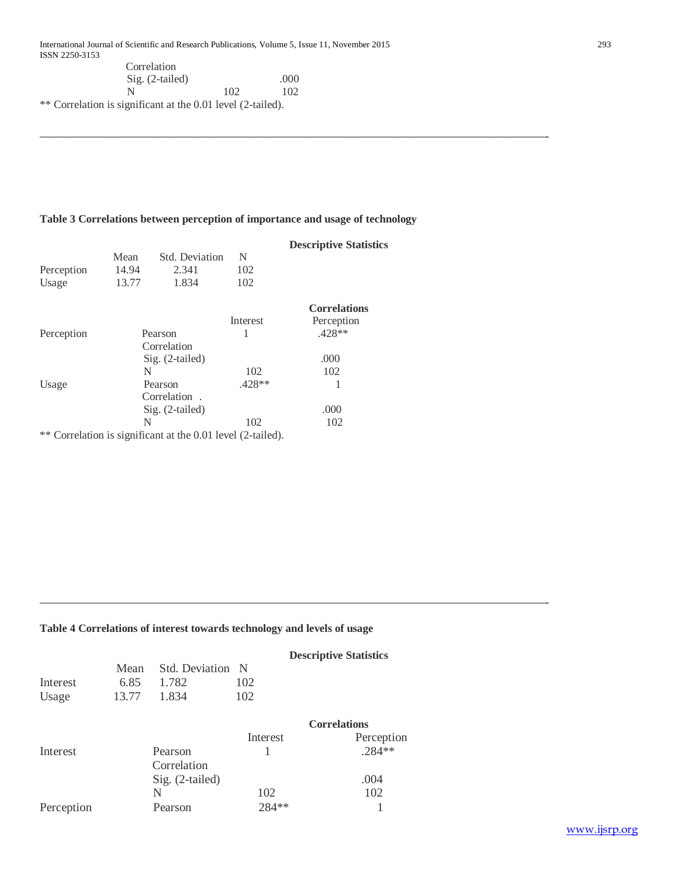| $Sig. (2-tailed)$                                                |     | .000 |  |
|------------------------------------------------------------------|-----|------|--|
|                                                                  | 102 | 102  |  |
| $\kappa$ Correlation is significant at the 0.01 lavel (2 to 10d) |     |      |  |

\*\* Correlation is significant at the 0.01 level (2-tailed).

# **Table 3 Correlations between perception of importance and usage of technology**

——————————————————————————————————————-

|            |             |                                                          |          | <b>Descriptive Statistics</b> |
|------------|-------------|----------------------------------------------------------|----------|-------------------------------|
|            | Mean        | Std. Deviation                                           | N        |                               |
| Perception | 14.94       | 2.341                                                    | 102      |                               |
| Usage      | 13.77       | 1.834                                                    | 102      |                               |
|            |             |                                                          |          | <b>Correlations</b>           |
|            |             |                                                          | Interest | Perception                    |
| Perception |             | Pearson                                                  | 1        | $.428**$                      |
|            | Correlation |                                                          |          |                               |
|            |             | Sig. (2-tailed)                                          |          | .000                          |
|            | N           |                                                          | 102      | 102                           |
| Usage      |             | Pearson                                                  | $.428**$ |                               |
|            |             | Correlation.                                             |          |                               |
|            |             | $Sig. (2-tailed)$                                        |          | .000                          |
|            | N           |                                                          | 102      | 102                           |
| **         |             | Correlation is significant at the 0.01 level (2-tailed). |          |                               |

# **Table 4 Correlations of interest towards technology and levels of usage**

|            |       |                        |          | <b>Descriptive Statistics</b> |  |  |
|------------|-------|------------------------|----------|-------------------------------|--|--|
|            | Mean  | <b>Std.</b> Deviation  | - N      |                               |  |  |
| Interest   | 6.85  | 1.782                  | 102      |                               |  |  |
| Usage      | 13.77 | 1.834                  | 102      |                               |  |  |
|            |       |                        |          | <b>Correlations</b>           |  |  |
|            |       |                        | Interest | Perception                    |  |  |
| Interest   |       | Pearson<br>Correlation |          | $.284**$                      |  |  |
|            |       | Sig. (2-tailed)        |          | .004                          |  |  |
|            |       | N                      | 102      | 102                           |  |  |
| Perception |       | Pearson                | 284 **   |                               |  |  |

——————————————————————————————————————-